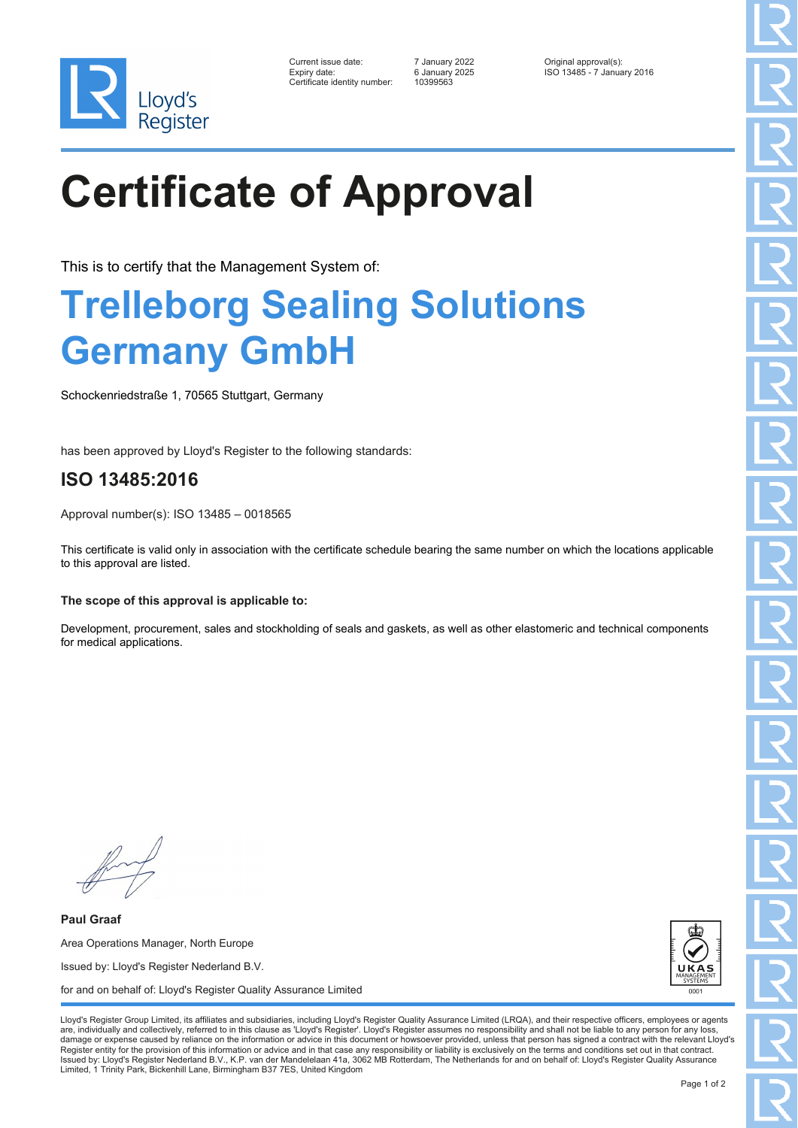

| Current issue date:         |
|-----------------------------|
| Expiry date:                |
| Certificate identity number |

Certificate identity number: 10399563

Current issue date: 7 January 2022 Original approval(s): Expiry date: 6 January 2025 ISO 13485 - 7 January 2016

# **Certificate of Approval**

This is to certify that the Management System of:

### **Trelleborg Sealing Solutions Germany GmbH**

Schockenriedstraße 1, 70565 Stuttgart, Germany

has been approved by Lloyd's Register to the following standards:

### **ISO 13485:2016**

Approval number(s): ISO 13485 – 0018565

This certificate is valid only in association with the certificate schedule bearing the same number on which the locations applicable to this approval are listed.

#### **The scope of this approval is applicable to:**

Development, procurement, sales and stockholding of seals and gaskets, as well as other elastomeric and technical components for medical applications.

**Paul Graaf** Area Operations Manager, North Europe Issued by: Lloyd's Register Nederland B.V. for and on behalf of: Lloyd's Register Quality Assurance Limited



Lloyd's Register Group Limited, its affiliates and subsidiaries, including Lloyd's Register Quality Assurance Limited (LRQA), and their respective officers, employees or agents are, individually and collectively, referred to in this clause as 'Lloyd's Register'. Lloyd's Register assumes no responsibility and shall not be liable to any person for any los damage or expense caused by reliance on the information or advice in this document or howsoever provided, unless that person has signed a contract with the relevant Lloyd's<br>Register entity for the provision of this informa Issued by: Lloyd's Register Nederland B.V., K.P. van der Mandelelaan 41a, 3062 MB Rotterdam, The Netherlands for and on behalf of: Lloyd's Register Quality Assurance Limited, 1 Trinity Park, Bickenhill Lane, Birmingham B37 7ES, United Kingdom